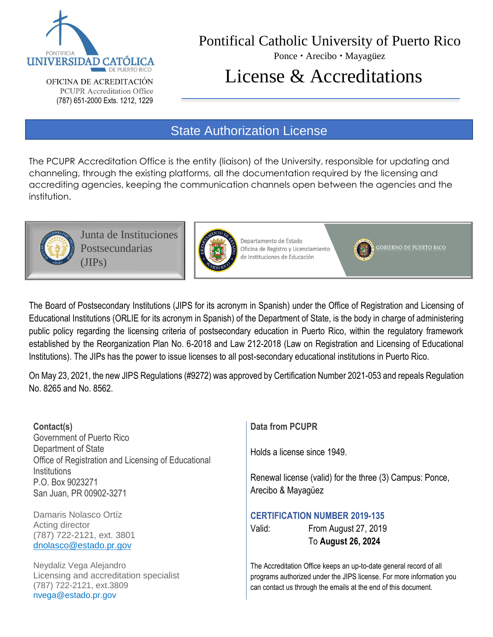

OFICINA DE ACREDITACIÓN **PCUPR** Accreditation Office (787) 651-2000 Exts. 1212, 1229

# Pontifical Catholic University of Puerto Rico

Ponce · Arecibo · Mayagüez

# License & Accreditations

## State Authorization License

The PCUPR Accreditation Office is the entity (liaison) of the University, responsible for updating and channeling, through the existing platforms, all the documentation required by the licensing and accrediting agencies, keeping the communication channels open between the agencies and the institution.



Junta de Instituciones Postsecundarias (JIPs)



Departamento de Estado Oficina de Registro y Licenciamiento de Instituciones de Educación

**GOBIERNO DE PUERTO RICO** 

The Board of Postsecondary Institutions (JIPS for its acronym in Spanish) under the Office of Registration and Licensing of Educational Institutions (ORLIE for its acronym in Spanish) of the Department of State, is the body in charge of administering public policy regarding the licensing criteria of postsecondary education in Puerto Rico, within the regulatory framework established by the Reorganization Plan No. 6-2018 and Law 212-2018 (Law on Registration and Licensing of Educational Institutions). The JIPs has the power to issue licenses to all post-secondary educational institutions in Puerto Rico.

On May 23, 2021, the new JIPS Regulations (#9272) was approved by Certification Number 2021-053 and repeals Regulation No. 8265 and No. 8562.

#### **Contact(s)**

Government of Puerto Rico Department of State Office of Registration and Licensing of Educational **Institutions** P.O. Box 9023271 San Juan, PR 00902-3271

Damaris Nolasco Ortíz Acting director (787) 722-2121, ext. 3801 [dnolasco@estado.pr.gov](mailto:brivera@%20ce.pr.gov)

Neydaliz Vega Alejandro Licensing and accreditation specialist (787) 722-2121, ext.3809 [nvega@estado.pr.gov](mailto:nlugo@ce.pr.gov)

**Data from PCUPR**

Holds a license since 1949.

Renewal license (valid) for the three (3) Campus: Ponce, Arecibo & Mayagüez

#### **CERTIFICATION NUMBER 2019-135**

Valid: From August 27, 2019 To **August 26, 2024**

The Accreditation Office keeps an up-to-date general record of all programs authorized under the JIPS license. For more information you can contact us through the emails at the end of this document.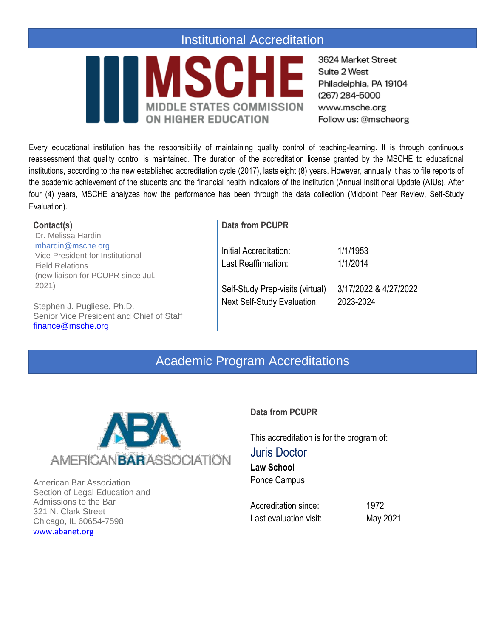### Institutional Accreditation



3624 Market Street Suite 2 West Philadelphia, PA 19104 (267) 284-5000 www.msche.org Follow us: @mscheorg

Every educational institution has the responsibility of maintaining quality control of teaching-learning. It is through continuous reassessment that quality control is maintained. The duration of the accreditation license granted by the MSCHE to educational institutions, according to the new established accreditation cycle (2017), lasts eight (8) years. However, annually it has to file reports of the academic achievement of the students and the financial health indicators of the institution (Annual Institional Update (AIUs). After four (4) years, MSCHE analyzes how the performance has been through the data collection (Midpoint Peer Review, Self-Study Evaluation).

| Contact(s)                               | <b>Data from PCUPR</b>             |                       |
|------------------------------------------|------------------------------------|-----------------------|
| Dr. Melissa Hardin                       |                                    |                       |
| mhardin@msche.org                        | Initial Accreditation:             | 1/1/1953              |
| Vice President for Institutional         |                                    |                       |
| <b>Field Relations</b>                   | Last Reaffirmation:                | 1/1/2014              |
| (new liaison for PCUPR since Jul.        |                                    |                       |
| 2021)                                    | Self-Study Prep-visits (virtual)   | 3/17/2022 & 4/27/2022 |
| Stephen J. Pugliese, Ph.D.               | <b>Next Self-Study Evaluation:</b> | 2023-2024             |
| Senior Vice President and Chief of Staff |                                    |                       |
| finance@msche.org                        |                                    |                       |

## Academic Program Accreditations



American Bar Association Section of Legal Education and Admissions to the Bar 321 N. Clark Street Chicago, IL 60654-7598 w[ww.abanet.org](http://www.abanet.org/)

#### **Data from PCUPR**

This accreditation is for the program of: Juris Doctor **Law School** Ponce Campus

Accreditation since: 1972 Last evaluation visit: May 2021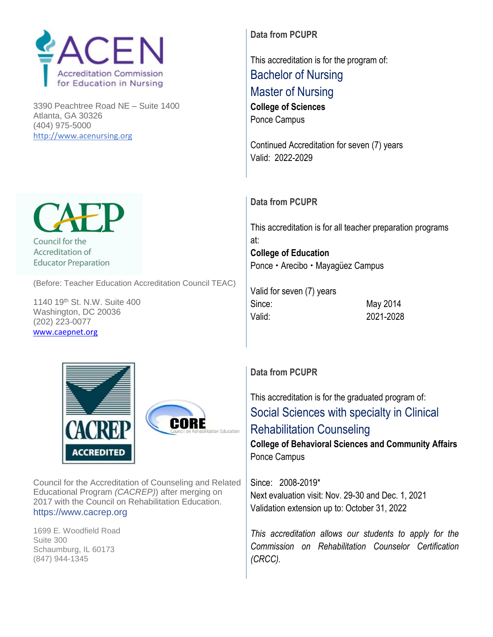

3390 Peachtree Road NE – Suite 1400 Atlanta, GA 30326 (404) 975-5000 http:/[/www.acenursing.org](http://www.acenursing.org/)

**Data from PCUPR**

This accreditation is for the program of: Bachelor of Nursing Master of Nursing **College of Sciences** Ponce Campus

Continued Accreditation for seven (7) years Valid: 2022-2029

#### **Data from PCUPR**

This accreditation is for all teacher preparation programs at: **College of Education** Ponce • Arecibo • Mayagüez Campus

Valid for seven (7) years Since: May 2014 Valid: 2021-2028



Council for the Accreditation of Counseling and Related Educational Program *(CACREP)*) after merging on 2017 with the Council on Rehabilitation Education. [https://www.cacrep.org](http://www.caepnet.org/)

1699 E. Woodfield Road Suite 300 Schaumburg, IL 60173 (847) 944-1345

#### **Data from PCUPR**

This accreditation is for the graduated program of: Social Sciences with specialty in Clinical Rehabilitation Counseling

**College of Behavioral Sciences and Community Affairs** Ponce Campus

Since: 2008-2019\* Next evaluation visit: Nov. 29-30 and Dec. 1, 2021 Validation extension up to: October 31, 2022

*This accreditation allows our students to apply for the Commission on Rehabilitation Counselor Certification (CRCC).*



**Educator Preparation** 

(Before: Teacher Education Accreditation Council TEAC)

1140 19th St. N.W. Suite 400 Washington, DC 20036 (202) 223-0077 w[ww.caepnet.org](http://www.caepnet.org/)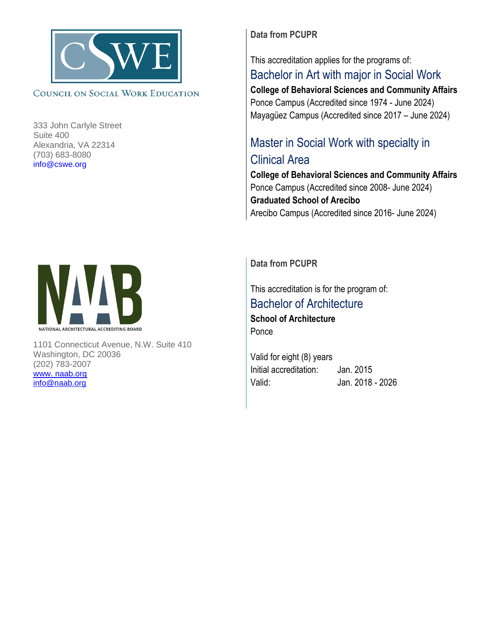

#### COUNCIL ON SOCIAL WORK EDUCATION

333 John Carlyle Street Suite 400 Alexandria, VA 22314 (703) 683-8080 [info@cswe.org](http://www.caepnet.org/)

**Data from PCUPR**

### This accreditation applies for the programs of: Bachelor in Art with major in Social Work

**College of Behavioral Sciences and Community Affairs** Ponce Campus (Accredited since 1974 - June 2024) Mayagüez Campus (Accredited since 2017 – June 2024)

# Master in Social Work with specialty in Clinical Area

**College of Behavioral Sciences and Community Affairs** Ponce Campus (Accredited since 2008- June 2024) **Graduated School of Arecibo** Arecibo Campus (Accredited since 2016- June 2024)



1101 Connecticut Avenue, N.W. Suite 410 Washington, DC 20036 (202) 783-2007 [www. naab.org](http://www.ng/) [info@naab.org](mailto:info@naab.org)

**Data from PCUPR**

This accreditation is for the program of: Bachelor of Architecture **School of Architecture** Ponce

Valid for eight (8) years Initial accreditation: Jan. 2015 Valid: Jan. 2018 - 2026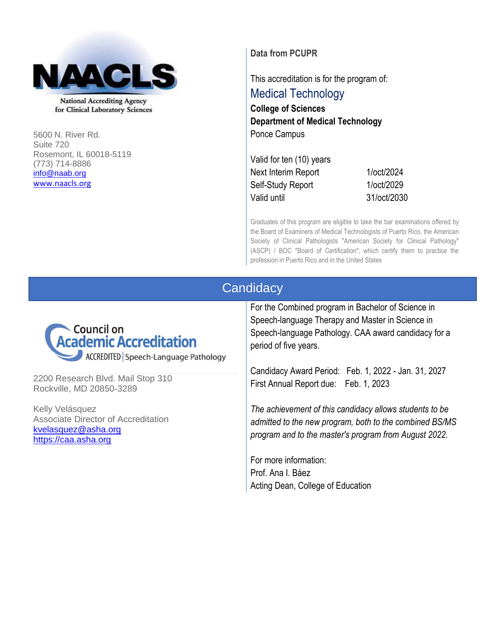

**National Accrediting Agency** for Clinical Laboratory Sciences

5600 N. River Rd. Suite 720 Rosemont, IL 60018-5119 (773) 714-8886 [info@naab.org](mailto:info@naab.org) [www.naacls.org](http://www.naacls.org/)

**Data from PCUPR**

This accreditation is for the program of:

Medical Technology **College of Sciences Department of Medical Technology** Ponce Campus

Valid for ten (10) years Next Interim Report 1/oct/2024 Self-Study Report 1/oct/2029 Valid until 31/oct/2030

Graduates of this program are eligible to take the bar examinations offered by the Board of Examiners of Medical Technologists of Puerto Rico, the American Society of Clinical Pathologists "American Society for Clinical Pathology" (ASCP) / BOC "Board of Certification"; which certify them to practice the profession in Puerto Rico and in the United States

### **Candidacy**



2200 Research Blvd. Mail Stop 310 Rockville, MD 20850-3289

Kelly Velásquez Associate Director of Accreditation [kvelasquez@asha.org](mailto:kvelasquez@asha.org) [https://caa.asha.org](https://caa.asha.org/)

For the Combined program in Bachelor of Science in Speech-language Therapy and Master in Science in Speech-language Pathology. CAA award candidacy for a period of five years.

Candidacy Award Period: Feb. 1, 2022 - Jan. 31, 2027 First Annual Report due: Feb. 1, 2023

*The achievement of this candidacy allows students to be admitted to the new program, both to the combined BS/MS program and to the master's program from August 2022.* 

For more information: Prof. Ana I. Báez Acting Dean, College of Education